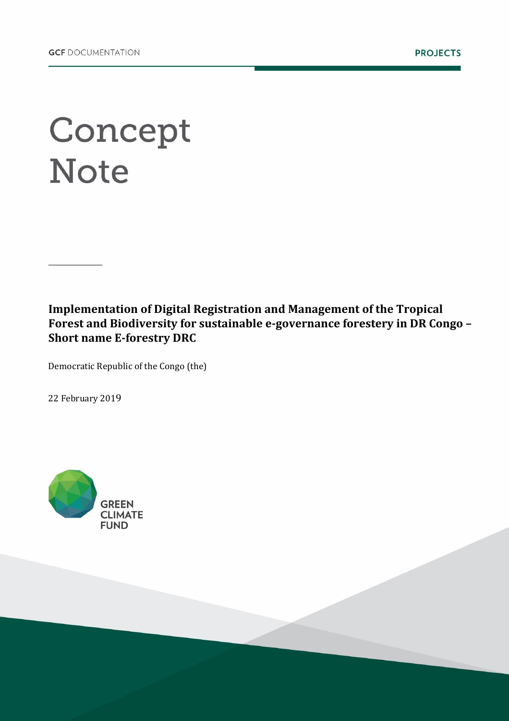# Concept **Note**

**Implementation of Digital Registration and Management of the Tropical Forest and Biodiversity for sustainable e-governance forestery in DR Congo – Short name E-forestry DRC**

Democratic Republic of the Congo (the)

22 February 2019

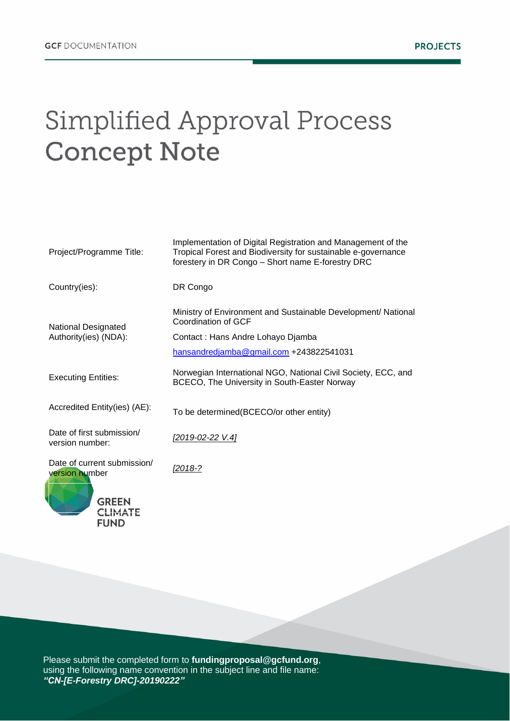# Simplified Approval Process **Concept Note**

| Project/Programme Title:                            | Implementation of Digital Registration and Management of the<br>Tropical Forest and Biodiversity for sustainable e-governance<br>forestery in DR Congo - Short name E-forestry DRC |
|-----------------------------------------------------|------------------------------------------------------------------------------------------------------------------------------------------------------------------------------------|
| Country(ies):                                       | DR Congo                                                                                                                                                                           |
| <b>National Designated</b><br>Authority(ies) (NDA): | Ministry of Environment and Sustainable Development/ National<br>Coordination of GCF<br>Contact: Hans Andre Lohayo Djamba                                                          |
|                                                     | hansandredjamba@gmail.com +243822541031                                                                                                                                            |
| <b>Executing Entities:</b>                          | Norwegian International NGO, National Civil Society, ECC, and<br>BCECO, The University in South-Easter Norway                                                                      |
| Accredited Entity(ies) (AE):                        | To be determined(BCECO/or other entity)                                                                                                                                            |
| Date of first submission/<br>version number:        | [2019-02-22 V.4]                                                                                                                                                                   |
| Date of current submission/<br>version number       | <u>[2018-?</u>                                                                                                                                                                     |
| <b>GREEN</b><br><b>FUND</b>                         |                                                                                                                                                                                    |

Please submit the completed form to **fundingproposal@gcfund.org**, using the following name convention in the subject line and file name: *"CN-[E-Forestry DRC]-20190222"*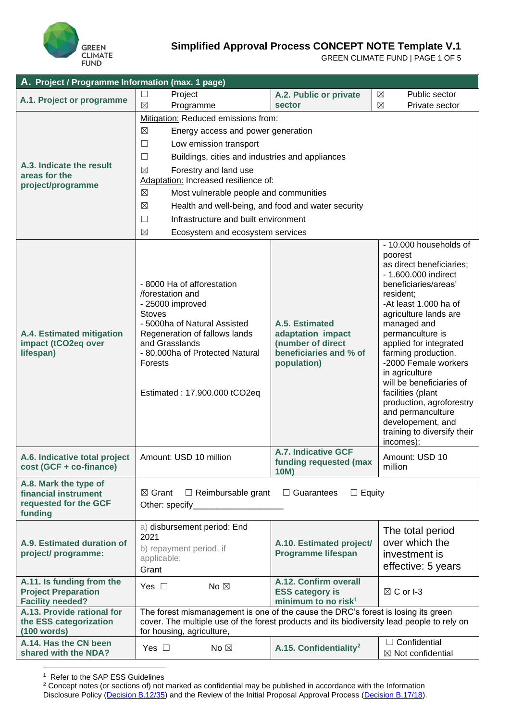

GREEN CLIMATE FUND | PAGE 1 OF 5

| A. Project / Programme Information (max. 1 page)                                   |                                                                                                                                                                                                                                                      |                                                                                                   |                                                                                                                                                                                                                                                                                                                                                                                                                                                                               |  |  |  |  |
|------------------------------------------------------------------------------------|------------------------------------------------------------------------------------------------------------------------------------------------------------------------------------------------------------------------------------------------------|---------------------------------------------------------------------------------------------------|-------------------------------------------------------------------------------------------------------------------------------------------------------------------------------------------------------------------------------------------------------------------------------------------------------------------------------------------------------------------------------------------------------------------------------------------------------------------------------|--|--|--|--|
| A.1. Project or programme                                                          | Project                                                                                                                                                                                                                                              | A.2. Public or private                                                                            | Public sector<br>$\boxtimes$                                                                                                                                                                                                                                                                                                                                                                                                                                                  |  |  |  |  |
|                                                                                    | $\boxtimes$<br>Programme                                                                                                                                                                                                                             | sector                                                                                            | $\boxtimes$<br>Private sector                                                                                                                                                                                                                                                                                                                                                                                                                                                 |  |  |  |  |
|                                                                                    | Mitigation: Reduced emissions from:                                                                                                                                                                                                                  |                                                                                                   |                                                                                                                                                                                                                                                                                                                                                                                                                                                                               |  |  |  |  |
|                                                                                    | $\boxtimes$<br>Energy access and power generation                                                                                                                                                                                                    |                                                                                                   |                                                                                                                                                                                                                                                                                                                                                                                                                                                                               |  |  |  |  |
|                                                                                    | Low emission transport<br>⊔                                                                                                                                                                                                                          |                                                                                                   |                                                                                                                                                                                                                                                                                                                                                                                                                                                                               |  |  |  |  |
|                                                                                    | Buildings, cities and industries and appliances<br>⊔                                                                                                                                                                                                 |                                                                                                   |                                                                                                                                                                                                                                                                                                                                                                                                                                                                               |  |  |  |  |
| A.3. Indicate the result<br>areas for the                                          | Forestry and land use<br>$\boxtimes$                                                                                                                                                                                                                 |                                                                                                   |                                                                                                                                                                                                                                                                                                                                                                                                                                                                               |  |  |  |  |
| project/programme                                                                  | Adaptation: Increased resilience of:                                                                                                                                                                                                                 |                                                                                                   |                                                                                                                                                                                                                                                                                                                                                                                                                                                                               |  |  |  |  |
|                                                                                    |                                                                                                                                                                                                                                                      | $\boxtimes$<br>Most vulnerable people and communities                                             |                                                                                                                                                                                                                                                                                                                                                                                                                                                                               |  |  |  |  |
|                                                                                    | $\boxtimes$                                                                                                                                                                                                                                          | Health and well-being, and food and water security                                                |                                                                                                                                                                                                                                                                                                                                                                                                                                                                               |  |  |  |  |
|                                                                                    | Infrastructure and built environment<br>$\Box$                                                                                                                                                                                                       |                                                                                                   |                                                                                                                                                                                                                                                                                                                                                                                                                                                                               |  |  |  |  |
|                                                                                    | $\boxtimes$<br>Ecosystem and ecosystem services                                                                                                                                                                                                      |                                                                                                   |                                                                                                                                                                                                                                                                                                                                                                                                                                                                               |  |  |  |  |
| A.4. Estimated mitigation<br>impact (tCO2eq over<br>lifespan)                      | - 8000 Ha of afforestation<br>/forestation and<br>- 25000 improved<br><b>Stoves</b><br>- 5000ha of Natural Assisted<br>Regeneration of fallows lands<br>and Grasslands<br>- 80.000ha of Protected Natural<br>Forests<br>Estimated: 17.900.000 tCO2eq | A.5. Estimated<br>adaptation impact<br>(number of direct<br>beneficiaries and % of<br>population) | - 10.000 households of<br>poorest<br>as direct beneficiaries;<br>- 1.600.000 indirect<br>beneficiaries/areas'<br>resident;<br>-At least 1.000 ha of<br>agriculture lands are<br>managed and<br>permanculture is<br>applied for integrated<br>farming production.<br>-2000 Female workers<br>in agriculture<br>will be beneficiaries of<br>facilities (plant<br>production, agroforestry<br>and permanculture<br>developement, and<br>training to diversify their<br>incomes); |  |  |  |  |
| A.6. Indicative total project<br>cost (GCF + co-finance)                           | Amount: USD 10 million                                                                                                                                                                                                                               | <b>A.7. Indicative GCF</b><br>funding requested (max<br>10M)                                      | Amount: USD 10<br>million                                                                                                                                                                                                                                                                                                                                                                                                                                                     |  |  |  |  |
| A.8. Mark the type of<br>financial instrument<br>requested for the GCF<br>funding  | $\Box$ Reimbursable grant<br>$\Box$ Guarantees<br>$\boxtimes$ Grant<br>$\Box$ Equity<br>Other: specify_                                                                                                                                              |                                                                                                   |                                                                                                                                                                                                                                                                                                                                                                                                                                                                               |  |  |  |  |
| A.9. Estimated duration of<br>project/ programme:                                  | a) disbursement period: End<br>2021<br>b) repayment period, if<br>applicable:<br>Grant                                                                                                                                                               | A.10. Estimated project/<br><b>Programme lifespan</b>                                             | The total period<br>over which the<br>investment is<br>effective: 5 years                                                                                                                                                                                                                                                                                                                                                                                                     |  |  |  |  |
| A.11. Is funding from the<br><b>Project Preparation</b><br><b>Facility needed?</b> | No $\boxtimes$<br>Yes $\square$                                                                                                                                                                                                                      | A.12. Confirm overall<br><b>ESS category is</b><br>minimum to no risk <sup>1</sup>                | $\boxtimes$ C or I-3                                                                                                                                                                                                                                                                                                                                                                                                                                                          |  |  |  |  |
| A.13. Provide rational for<br>the ESS categorization<br>(100 words)                | The forest mismanagement is one of the cause the DRC's forest is losing its green<br>cover. The multiple use of the forest products and its biodiversity lead people to rely on<br>for housing, agriculture,                                         |                                                                                                   |                                                                                                                                                                                                                                                                                                                                                                                                                                                                               |  |  |  |  |
| A.14. Has the CN been<br>shared with the NDA?                                      | No $\boxtimes$<br>Yes $\Box$                                                                                                                                                                                                                         | A.15. Confidentiality <sup>2</sup>                                                                | $\Box$ Confidential<br>$\boxtimes$ Not confidential                                                                                                                                                                                                                                                                                                                                                                                                                           |  |  |  |  |

<sup>1</sup> Refer to the SAP ESS Guidelines

 $2$  Concept notes (or sections of) not marked as confidential may be published in accordance with the Information Disclosure Policy [\(Decision B.12/35\)](http://www.greenclimate.fund/documents/20182/184476/GCF_B.12_32_-_Decisions_of_the_Board___Twelfth_Meeting_of_the_Board__8_10_March_2016.pdf/020edfa1-53b2-4abf-af78-fccf5628db2a) and the Review of the Initial Proposal Approval Process [\(Decision B.17/18\)](http://www.greenclimate.fund/documents/20182/751020/GCF_B.17_18_-_Review_of_the_initial_proposal_approval_process.pdf/559e7b1c-7f34-44dd-9eff-8fa235714312).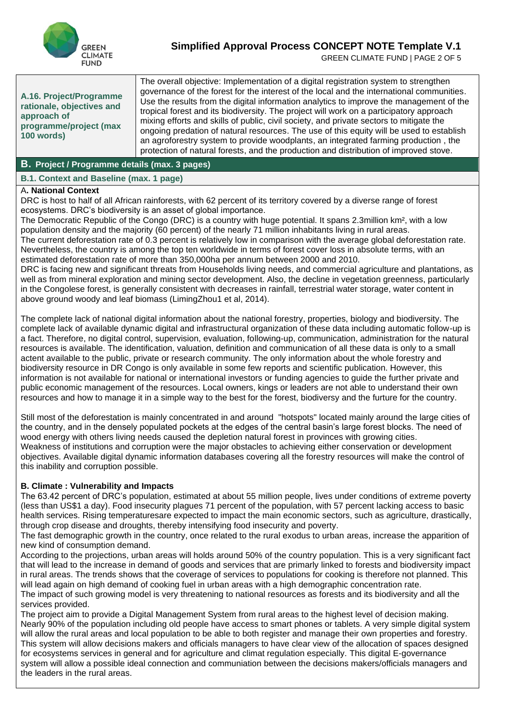

GREEN CLIMATE FUND | PAGE 2 OF 5

**A.16. Project/Programme rationale, objectives and approach of programme/project (max 100 words)**

The overall objective: Implementation of a digital registration system to strengthen governance of the forest for the interest of the local and the international communities. Use the results from the digital information analytics to improve the management of the tropical forest and its biodiversity. The project will work on a participatory approach mixing efforts and skills of public, civil society, and private sectors to mitigate the ongoing predation of natural resources. The use of this equity will be used to establish an agroforestry system to provide woodplants, an integrated farming production , the protection of natural forests, and the production and distribution of improved stove.

#### **B. Project / Programme details (max. 3 pages)**

#### **B.1. Context and Baseline (max. 1 page)**

#### A**. National Context**

DRC is host to half of all African rainforests, with 62 percent of its territory covered by a diverse range of forest ecosystems. DRC's biodiversity is an asset of global importance.

The Democratic Republic of the Congo (DRC) is a country with huge potential. It spans 2.3million km², with a low population density and the majority (60 percent) of the nearly 71 million inhabitants living in rural areas. The current deforestation rate of 0.3 percent is relatively low in comparison with the average global deforestation rate.

Nevertheless, the country is among the top ten worldwide in terms of forest cover loss in absolute terms, with an estimated deforestation rate of more than 350,000ha per annum between 2000 and 2010.

DRC is facing new and significant threats from Households living needs, and commercial agriculture and plantations, as well as from mineral exploration and mining sector development. Also, the decline in vegetation greenness, particularly in the Congolese forest, is generally consistent with decreases in rainfall, terrestrial water storage, water content in above ground woody and leaf biomass (LimingZhou1 et al, 2014).

The complete lack of national digital information about the national forestry, properties, biology and biodiversity. The complete lack of available dynamic digital and infrastructural organization of these data including automatic follow-up is a fact. Therefore, no digital control, supervision, evaluation, following-up, communication, administration for the natural resources is available. The identification, valuation, definition and communication of all these data is only to a small actent available to the public, private or research community. The only information about the whole forestry and biodiversity resource in DR Congo is only available in some few reports and scientific publication. However, this information is not available for national or international investors or funding agencies to guide the further private and public economic management of the resources. Local owners, kings or leaders are not able to understand their own resources and how to manage it in a simple way to the best for the forest, biodiversy and the furture for the country.

Still most of the deforestation is mainly concentrated in and around "hotspots" located mainly around the large cities of the country, and in the densely populated pockets at the edges of the central basin's large forest blocks. The need of wood energy with others living needs caused the depletion natural forest in provinces with growing cities. Weakness of institutions and corruption were the major obstacles to achieving either conservation or development objectives. Available digital dynamic information databases covering all the forestry resources will make the control of this inability and corruption possible.

#### **B. Climate : Vulnerability and Impacts**

The 63.42 percent of DRC's population, estimated at about 55 million people, lives under conditions of extreme poverty (less than US\$1 a day). Food insecurity plagues 71 percent of the population, with 57 percent lacking access to basic health services. Rising temperaturesare expected to impact the main economic sectors, such as agriculture, drastically, through crop disease and droughts, thereby intensifying food insecurity and poverty.

The fast demographic growth in the country, once related to the rural exodus to urban areas, increase the apparition of new kind of consumption demand.

According to the projections, urban areas will holds around 50% of the country population. This is a very significant fact that will lead to the increase in demand of goods and services that are primarly linked to forests and biodiversity impact in rural areas. The trends shows that the coverage of services to populations for cooking is therefore not planned. This will lead again on high demand of cooking fuel in urban areas with a high demographic concentration rate.

The impact of such growing model is very threatening to national resources as forests and its biodiversity and all the services provided.

The project aim to provide a Digital Management System from rural areas to the highest level of decision making. Nearly 90% of the population including old people have access to smart phones or tablets. A very simple digital system will allow the rural areas and local population to be able to both register and manage their own properties and forestry. This system will allow decisions makers and officials managers to have clear view of the allocation of spaces designed for ecosystems services in general and for agriculture and climat regulation especially. This digital E-governance system will allow a possible ideal connection and communiation between the decisions makers/officials managers and the leaders in the rural areas.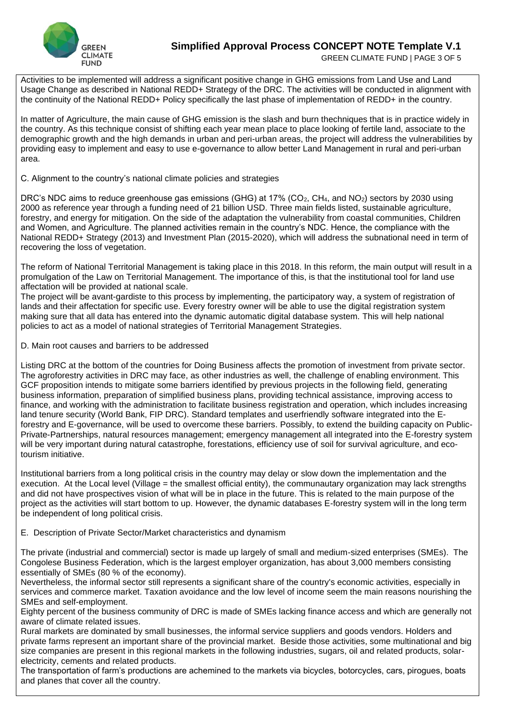

GREEN CLIMATE FUND | PAGE 3 OF 5

Activities to be implemented will address a significant positive change in GHG emissions from Land Use and Land Usage Change as described in National REDD+ Strategy of the DRC. The activities will be conducted in alignment with the continuity of the National REDD+ Policy specifically the last phase of implementation of REDD+ in the country.

In matter of Agriculture, the main cause of GHG emission is the slash and burn thechniques that is in practice widely in the country. As this technique consist of shifting each year mean place to place looking of fertile land, associate to the demographic growth and the high demands in urban and peri-urban areas, the project will address the vulnerabilities by providing easy to implement and easy to use e-governance to allow better Land Management in rural and peri-urban area.

C. Alignment to the country's national climate policies and strategies

DRC's NDC aims to reduce greenhouse gas emissions (GHG) at 17% (CO<sub>2</sub>, CH<sub>4</sub>, and NO<sub>2</sub>) sectors by 2030 using 2000 as reference year through a funding need of 21 billion USD. Three main fields listed, sustainable agriculture, forestry, and energy for mitigation. On the side of the adaptation the vulnerability from coastal communities, Children and Women, and Agriculture. The planned activities remain in the country's NDC. Hence, the compliance with the National REDD+ Strategy (2013) and Investment Plan (2015-2020), which will address the subnational need in term of recovering the loss of vegetation.

The reform of National Territorial Management is taking place in this 2018. In this reform, the main output will result in a promulgation of the Law on Territorial Management. The importance of this, is that the institutional tool for land use affectation will be provided at national scale.

The project will be avant-gardiste to this process by implementing, the participatory way, a system of registration of lands and their affectation for specific use. Every forestry owner will be able to use the digital registration system making sure that all data has entered into the dynamic automatic digital database system. This will help national policies to act as a model of national strategies of Territorial Management Strategies.

D. Main root causes and barriers to be addressed

Listing DRC at the bottom of the countries for Doing Business affects the promotion of investment from private sector. The agroforestry activities in DRC may face, as other industries as well, the challenge of enabling environment. This GCF proposition intends to mitigate some barriers identified by previous projects in the following field, generating business information, preparation of simplified business plans, providing technical assistance, improving access to finance, and working with the administration to facilitate business registration and operation, which includes increasing land tenure security (World Bank, FIP DRC). Standard templates and userfriendly software integrated into the Eforestry and E-governance, will be used to overcome these barriers. Possibly, to extend the building capacity on Public-Private-Partnerships, natural resources management; emergency management all integrated into the E-forestry system will be very important during natural catastrophe, forestations, efficiency use of soil for survival agriculture, and ecotourism initiative.

Institutional barriers from a long political crisis in the country may delay or slow down the implementation and the execution. At the Local level (Village  $=$  the smallest official entity), the communautary organization may lack strengths and did not have prospectives vision of what will be in place in the future. This is related to the main purpose of the project as the activities will start bottom to up. However, the dynamic databases E-forestry system will in the long term be independent of long political crisis.

E. Description of Private Sector/Market characteristics and dynamism

The private (industrial and commercial) sector is made up largely of small and medium-sized enterprises (SMEs). The Congolese Business Federation, which is the largest employer organization, has about 3,000 members consisting essentially of SMEs (80 % of the economy).

Nevertheless, the informal sector still represents a significant share of the country's economic activities, especially in services and commerce market. Taxation avoidance and the low level of income seem the main reasons nourishing the SMEs and self-employment.

Eighty percent of the business community of DRC is made of SMEs lacking finance access and which are generally not aware of climate related issues.

Rural markets are dominated by small businesses, the informal service suppliers and goods vendors. Holders and private farms represent an important share of the provincial market. Beside those activities, some multinational and big size companies are present in this regional markets in the following industries, sugars, oil and related products, solarelectricity, cements and related products.

The transportation of farm's productions are achemined to the markets via bicycles, botorcycles, cars, pirogues, boats and planes that cover all the country.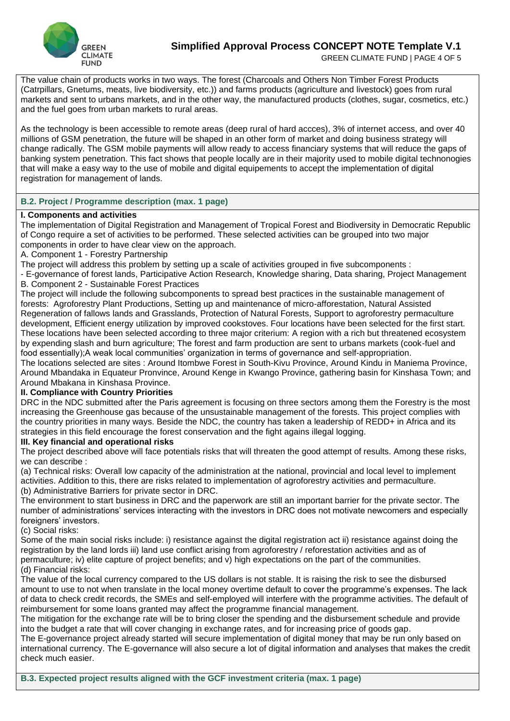

GREEN CLIMATE FUND | PAGE 4 OF 5

The value chain of products works in two ways. The forest (Charcoals and Others Non Timber Forest Products (Catrpillars, Gnetums, meats, live biodiversity, etc.)) and farms products (agriculture and livestock) goes from rural markets and sent to urbans markets, and in the other way, the manufactured products (clothes, sugar, cosmetics, etc.) and the fuel goes from urban markets to rural areas.

As the technology is been accessible to remote areas (deep rural of hard accces), 3% of internet access, and over 40 millions of GSM penetration, the future will be shaped in an other form of market and doing business strategy will change radically. The GSM mobile payments will allow ready to access financiary systems that will reduce the gaps of banking system penetration. This fact shows that people locally are in their majority used to mobile digital technonogies that will make a easy way to the use of mobile and digital equipements to accept the implementation of digital registration for management of lands.

#### **B.2. Project / Programme description (max. 1 page)**

#### **I. Components and activities**

The implementation of Digital Registration and Management of Tropical Forest and Biodiversity in Democratic Republic of Congo require a set of activities to be performed. These selected activities can be grouped into two major components in order to have clear view on the approach.

A. Component 1 - Forestry Partnership

The project will address this problem by setting up a scale of activities grouped in five subcomponents :

- E-governance of forest lands, Participative Action Research, Knowledge sharing, Data sharing, Project Management B. Component 2 - Sustainable Forest Practices

The project will include the following subcomponents to spread best practices in the sustainable management of forests: Agroforestry Plant Productions, Setting up and maintenance of micro-afforestation, Natural Assisted Regeneration of fallows lands and Grasslands, Protection of Natural Forests, Support to agroforestry permaculture development, Efficient energy utilization by improved cookstoves. Four locations have been selected for the first start. These locations have been selected according to three major criterium: A region with a rich but threatened ecosystem by expending slash and burn agriculture; The forest and farm production are sent to urbans markets (cook-fuel and food essentially);A weak local communities' organization in terms of governance and self-appropriation.

The locations selected are sites : Around Itombwe Forest in South-Kivu Province, Around Kindu in Maniema Province, Around Mbandaka in Equateur Pronvince, Around Kenge in Kwango Province, gathering basin for Kinshasa Town; and Around Mbakana in Kinshasa Province.

#### **II. Compliance with Country Priorities**

DRC in the NDC submitted after the Paris agreement is focusing on three sectors among them the Forestry is the most increasing the Greenhouse gas because of the unsustainable management of the forests. This project complies with the country priorities in many ways. Beside the NDC, the country has taken a leadership of REDD+ in Africa and its strategies in this field encourage the forest conservation and the fight agains illegal logging.

#### **III. Key financial and operational risks**

The project described above will face potentials risks that will threaten the good attempt of results. Among these risks, we can describe :

(a) Technical risks: Overall low capacity of the administration at the national, provincial and local level to implement activities. Addition to this, there are risks related to implementation of agroforestry activities and permaculture. (b) Administrative Barriers for private sector in DRC.

The environment to start business in DRC and the paperwork are still an important barrier for the private sector. The number of administrations' services interacting with the investors in DRC does not motivate newcomers and especially foreigners' investors.

(c) Social risks:

Some of the main social risks include: i) resistance against the digital registration act ii) resistance against doing the registration by the land lords iii) land use conflict arising from agroforestry / reforestation activities and as of permaculture; iv) elite capture of project benefits; and v) high expectations on the part of the communities. (d) Financial risks:

The value of the local currency compared to the US dollars is not stable. It is raising the risk to see the disbursed amount to use to not when translate in the local money overtime default to cover the programme's expenses. The lack of data to check credit records, the SMEs and self-employed will interfere with the programme activities. The default of reimbursement for some loans granted may affect the programme financial management.

The mitigation for the exchange rate will be to bring closer the spending and the disbursement schedule and provide into the budget a rate that will cover changing in exchange rates, and for increasing price of goods gap.

The E-governance project already started will secure implementation of digital money that may be run only based on international currency. The E-governance will also secure a lot of digital information and analyses that makes the credit check much easier.

**B.3. Expected project results aligned with the GCF investment criteria (max. 1 page)**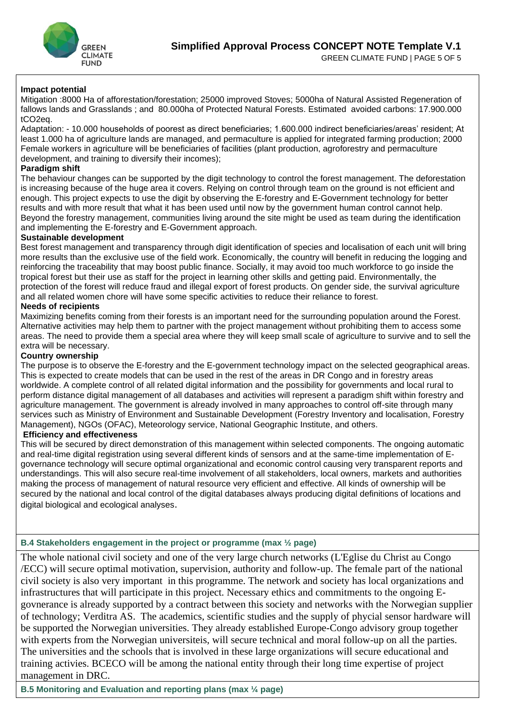

#### **Impact potential**

Mitigation :8000 Ha of afforestation/forestation; 25000 improved Stoves; 5000ha of Natural Assisted Regeneration of fallows lands and Grasslands ; and 80.000ha of Protected Natural Forests. Estimated avoided carbons: 17.900.000 tCO2eq.

Adaptation: - 10.000 households of poorest as direct beneficiaries; 1.600.000 indirect beneficiaries/areas' resident; At least 1.000 ha of agriculture lands are managed, and permaculture is applied for integrated farming production; 2000 Female workers in agriculture will be beneficiaries of facilities (plant production, agroforestry and permaculture development, and training to diversify their incomes);

#### **Paradigm shift**

The behaviour changes can be supported by the digit technology to control the forest management. The deforestation is increasing because of the huge area it covers. Relying on control through team on the ground is not efficient and enough. This project expects to use the digit by observing the E-forestry and E-Government technology for better results and with more result that what it has been used until now by the government human control cannot help. Beyond the forestry management, communities living around the site might be used as team during the identification and implementing the E-forestry and E-Government approach.

#### **Sustainable development**

Best forest management and transparency through digit identification of species and localisation of each unit will bring more results than the exclusive use of the field work. Economically, the country will benefit in reducing the logging and reinforcing the traceability that may boost public finance. Socially, it may avoid too much workforce to go inside the tropical forest but their use as staff for the project in learning other skills and getting paid. Environmentally, the protection of the forest will reduce fraud and illegal export of forest products. On gender side, the survival agriculture and all related women chore will have some specific activities to reduce their reliance to forest.

#### **Needs of recipients**

Maximizing benefits coming from their forests is an important need for the surrounding population around the Forest. Alternative activities may help them to partner with the project management without prohibiting them to access some areas. The need to provide them a special area where they will keep small scale of agriculture to survive and to sell the extra will be necessary.

#### **Country ownership**

The purpose is to observe the E-forestry and the E-government technology impact on the selected geographical areas. This is expected to create models that can be used in the rest of the areas in DR Congo and in forestry areas worldwide. A complete control of all related digital information and the possibility for governments and local rural to perform distance digital management of all databases and activities will represent a paradigm shift within forestry and agriculture management. The government is already involved in many approaches to control off-site through many services such as Ministry of Environment and Sustainable Development (Forestry Inventory and localisation, Forestry Management), NGOs (OFAC), Meteorology service, National Geographic Institute, and others.

#### **Efficiency and effectiveness**

This will be secured by direct demonstration of this management within selected components. The ongoing automatic and real-time digital registration using several different kinds of sensors and at the same-time implementation of Egovernance technology will secure optimal organizational and economic control causing very transparent reports and understandings. This will also secure real-time involvement of all stakeholders, local owners, markets and authorities making the process of management of natural resource very efficient and effective. All kinds of ownership will be secured by the national and local control of the digital databases always producing digital definitions of locations and digital biological and ecological analyses.

#### **B.4 Stakeholders engagement in the project or programme (max ½ page)**

The whole national civil society and one of the very large church networks (L'Eglise du Christ au Congo /ECC) will secure optimal motivation, supervision, authority and follow-up. The female part of the national civil society is also very important in this programme. The network and society has local organizations and infrastructures that will participate in this project. Necessary ethics and commitments to the ongoing Egovnerance is already supported by a contract between this society and networks with the Norwegian supplier of technology; Verditra AS. The academics, scientific studies and the supply of phycial sensor hardware will be supported the Norwegian universities. They already established Europe-Congo advisory group together with experts from the Norwegian universiteis, will secure technical and moral follow-up on all the parties. The universities and the schools that is involved in these large organizations will secure educational and training activies. BCECO will be among the national entity through their long time expertise of project management in DRC.

**B.5 Monitoring and Evaluation and reporting plans (max ¼ page)**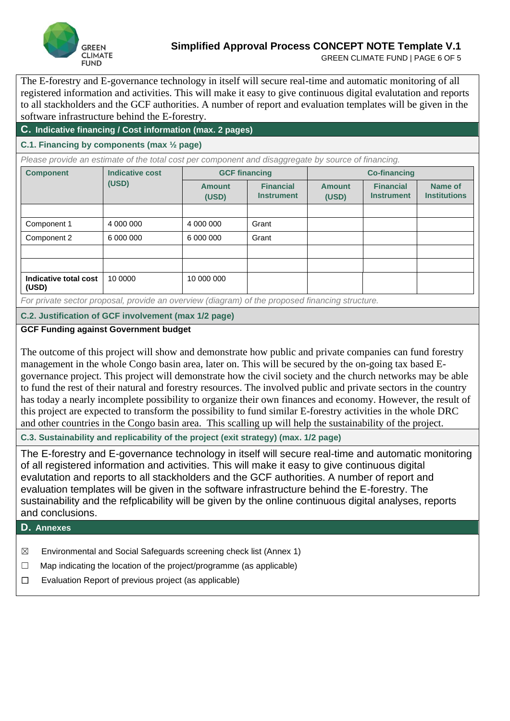

GREEN CLIMATE FUND | PAGE 6 OF 5

The E-forestry and E-governance technology in itself will secure real-time and automatic monitoring of all registered information and activities. This will make it easy to give continuous digital evalutation and reports to all stackholders and the GCF authorities. A number of report and evaluation templates will be given in the software infrastructure behind the E-forestry.

# **C. Indicative financing / Cost information (max. 2 pages)**

# **C.1. Financing by components (max ½ page)**

*Please provide an estimate of the total cost per component and disaggregate by source of financing.* 

| <b>Component</b>               | <b>Indicative cost</b><br>(USD) | <b>GCF financing</b>   |                                       | <b>Co-financing</b>    |                                       |                                |
|--------------------------------|---------------------------------|------------------------|---------------------------------------|------------------------|---------------------------------------|--------------------------------|
|                                |                                 | <b>Amount</b><br>(USD) | <b>Financial</b><br><b>Instrument</b> | <b>Amount</b><br>(USD) | <b>Financial</b><br><b>Instrument</b> | Name of<br><b>Institutions</b> |
|                                |                                 |                        |                                       |                        |                                       |                                |
| Component 1                    | 4 000 000                       | 4 000 000              | Grant                                 |                        |                                       |                                |
| Component 2                    | 6 000 000                       | 6 000 000              | Grant                                 |                        |                                       |                                |
|                                |                                 |                        |                                       |                        |                                       |                                |
|                                |                                 |                        |                                       |                        |                                       |                                |
| Indicative total cost<br>(USD) | 10 0000                         | 10 000 000             |                                       |                        |                                       |                                |

*For private sector proposal, provide an overview (diagram) of the proposed financing structure.* 

### **C.2. Justification of GCF involvement (max 1/2 page)**

#### **GCF Funding against Government budget**

The outcome of this project will show and demonstrate how public and private companies can fund forestry management in the whole Congo basin area, later on. This will be secured by the on-going tax based Egovernance project. This project will demonstrate how the civil society and the church networks may be able to fund the rest of their natural and forestry resources. The involved public and private sectors in the country has today a nearly incomplete possibility to organize their own finances and economy. However, the result of this project are expected to transform the possibility to fund similar E-forestry activities in the whole DRC and other countries in the Congo basin area. This scalling up will help the sustainability of the project.

**C.3. Sustainability and replicability of the project (exit strategy) (max. 1/2 page)**

The E-forestry and E-governance technology in itself will secure real-time and automatic monitoring of all registered information and activities. This will make it easy to give continuous digital evalutation and reports to all stackholders and the GCF authorities. A number of report and evaluation templates will be given in the software infrastructure behind the E-forestry. The sustainability and the refplicability will be given by the online continuous digital analyses, reports and conclusions.

## **D. Annexes**

- $\boxtimes$  Environmental and Social Safeguards screening check list (Annex 1)
- $\Box$  Map indicating the location of the project/programme (as applicable)
- ☐ Evaluation Report of previous project (as applicable)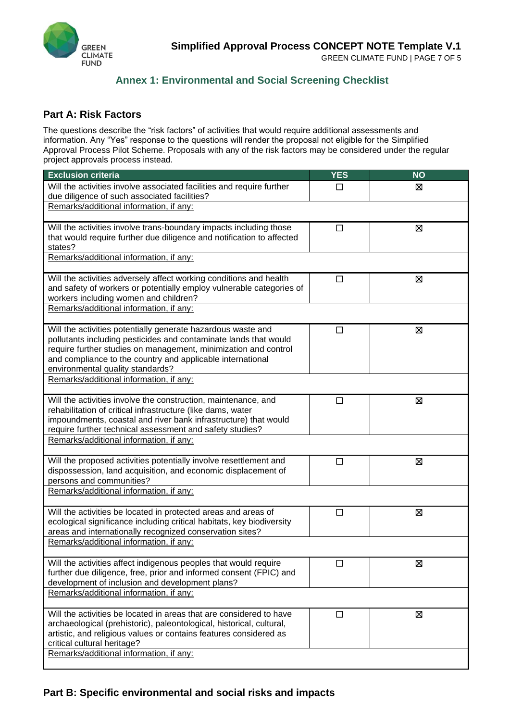

GREEN CLIMATE FUND | PAGE 7 OF 5

# **Annex 1: Environmental and Social Screening Checklist**

# **Part A: Risk Factors**

The questions describe the "risk factors" of activities that would require additional assessments and information. Any "Yes" response to the questions will render the proposal not eligible for the Simplified Approval Process Pilot Scheme. Proposals with any of the risk factors may be considered under the regular project approvals process instead.

| <b>Exclusion criteria</b>                                                                                                                   | <b>YES</b> | <b>NO</b> |  |  |
|---------------------------------------------------------------------------------------------------------------------------------------------|------------|-----------|--|--|
| Will the activities involve associated facilities and require further<br>due diligence of such associated facilities?                       | ΙI         | ⊠         |  |  |
| Remarks/additional information, if any:                                                                                                     |            |           |  |  |
| Will the activities involve trans-boundary impacts including those<br>that would require further due diligence and notification to affected | □          | Ø         |  |  |
| states?                                                                                                                                     |            |           |  |  |
| Remarks/additional information, if any:                                                                                                     |            |           |  |  |
| Will the activities adversely affect working conditions and health<br>and safety of workers or potentially employ vulnerable categories of  | $\Box$     | ⊠         |  |  |
| workers including women and children?                                                                                                       |            |           |  |  |
| Remarks/additional information, if any:                                                                                                     |            |           |  |  |
| Will the activities potentially generate hazardous waste and<br>pollutants including pesticides and contaminate lands that would            | $\Box$     | Ø         |  |  |
| require further studies on management, minimization and control                                                                             |            |           |  |  |
| and compliance to the country and applicable international                                                                                  |            |           |  |  |
| environmental quality standards?                                                                                                            |            |           |  |  |
| Remarks/additional information, if any:                                                                                                     |            |           |  |  |
| Will the activities involve the construction, maintenance, and                                                                              | □          | 図         |  |  |
| rehabilitation of critical infrastructure (like dams, water<br>impoundments, coastal and river bank infrastructure) that would              |            |           |  |  |
| require further technical assessment and safety studies?                                                                                    |            |           |  |  |
| Remarks/additional information, if any:                                                                                                     |            |           |  |  |
| Will the proposed activities potentially involve resettlement and                                                                           | $\Box$     | ⊠         |  |  |
| dispossession, land acquisition, and economic displacement of<br>persons and communities?                                                   |            |           |  |  |
| Remarks/additional information, if any:                                                                                                     |            |           |  |  |
| Will the activities be located in protected areas and areas of                                                                              | $\Box$     | ⊠         |  |  |
| ecological significance including critical habitats, key biodiversity<br>areas and internationally recognized conservation sites?           |            |           |  |  |
| Remarks/additional information, if any:                                                                                                     |            |           |  |  |
| Will the activities affect indigenous peoples that would require                                                                            | $\Box$     | ⊠         |  |  |
| further due diligence, free, prior and informed consent (FPIC) and<br>development of inclusion and development plans?                       |            |           |  |  |
| Remarks/additional information, if any:                                                                                                     |            |           |  |  |
| Will the activities be located in areas that are considered to have                                                                         | □          | 区         |  |  |
| archaeological (prehistoric), paleontological, historical, cultural,                                                                        |            |           |  |  |
| artistic, and religious values or contains features considered as<br>critical cultural heritage?                                            |            |           |  |  |
| Remarks/additional information, if any:                                                                                                     |            |           |  |  |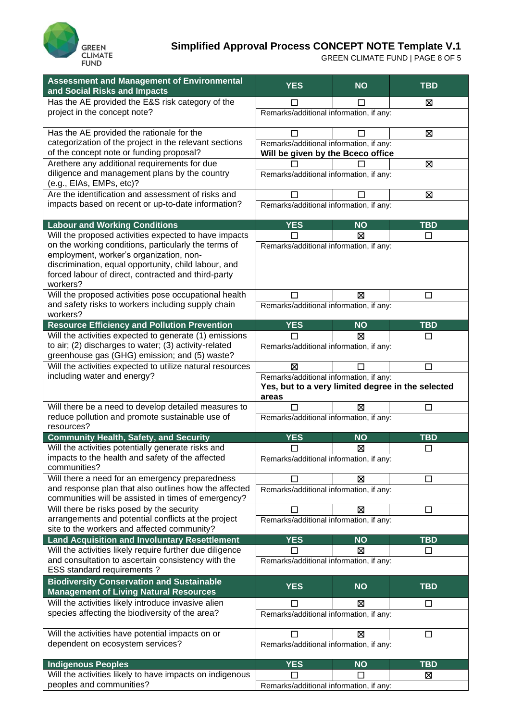

GREEN CLIMATE FUND | PAGE 8 OF 5

| <b>Assessment and Management of Environmental</b><br>and Social Risks and Impacts                                                                                                                                          | <b>YES</b>                                                                                            | <b>NO</b> | <b>TBD</b> |  |
|----------------------------------------------------------------------------------------------------------------------------------------------------------------------------------------------------------------------------|-------------------------------------------------------------------------------------------------------|-----------|------------|--|
| Has the AE provided the E&S risk category of the                                                                                                                                                                           |                                                                                                       |           | ⊠          |  |
| project in the concept note?                                                                                                                                                                                               | Remarks/additional information, if any:                                                               |           |            |  |
| Has the AE provided the rationale for the                                                                                                                                                                                  |                                                                                                       |           | ⊠          |  |
| categorization of the project in the relevant sections<br>of the concept note or funding proposal?                                                                                                                         | Remarks/additional information, if any:<br>Will be given by the Bceco office                          |           |            |  |
| Arethere any additional requirements for due                                                                                                                                                                               |                                                                                                       |           | Ø          |  |
| diligence and management plans by the country<br>(e.g., EIAs, EMPs, etc)?                                                                                                                                                  | Remarks/additional information, if any:                                                               |           |            |  |
| Are the identification and assessment of risks and                                                                                                                                                                         | □                                                                                                     | $\Box$    | Ø          |  |
| impacts based on recent or up-to-date information?                                                                                                                                                                         | Remarks/additional information, if any:                                                               |           |            |  |
| <b>Labour and Working Conditions</b>                                                                                                                                                                                       | <b>YES</b>                                                                                            | <b>NO</b> | <b>TBD</b> |  |
| Will the proposed activities expected to have impacts                                                                                                                                                                      | П                                                                                                     | Ø         | $\Box$     |  |
| on the working conditions, particularly the terms of<br>employment, worker's organization, non-<br>discrimination, equal opportunity, child labour, and<br>forced labour of direct, contracted and third-party<br>workers? | Remarks/additional information, if any:                                                               |           |            |  |
| Will the proposed activities pose occupational health                                                                                                                                                                      |                                                                                                       | ⊠         | □          |  |
| and safety risks to workers including supply chain<br>workers?                                                                                                                                                             | Remarks/additional information, if any:                                                               |           |            |  |
| <b>Resource Efficiency and Pollution Prevention</b>                                                                                                                                                                        | <b>YES</b>                                                                                            | <b>NO</b> | <b>TBD</b> |  |
| Will the activities expected to generate (1) emissions                                                                                                                                                                     |                                                                                                       | ⊠         | □          |  |
| to air; (2) discharges to water; (3) activity-related<br>greenhouse gas (GHG) emission; and (5) waste?                                                                                                                     | Remarks/additional information, if any:                                                               |           |            |  |
| Will the activities expected to utilize natural resources                                                                                                                                                                  | ⊠                                                                                                     |           | □          |  |
| including water and energy?                                                                                                                                                                                                | Remarks/additional information, if any:<br>Yes, but to a very limited degree in the selected<br>areas |           |            |  |
| Will there be a need to develop detailed measures to                                                                                                                                                                       |                                                                                                       | ⊠         | П          |  |
| reduce pollution and promote sustainable use of<br>resources?                                                                                                                                                              | Remarks/additional information, if any:                                                               |           |            |  |
| <b>Community Health, Safety, and Security</b>                                                                                                                                                                              | <b>YES</b>                                                                                            | <b>NO</b> | <b>TBD</b> |  |
| Will the activities potentially generate risks and                                                                                                                                                                         | □                                                                                                     | ⊠         | □          |  |
| impacts to the health and safety of the affected<br>communities?                                                                                                                                                           | Remarks/additional information, if any:                                                               |           |            |  |
| Will there a need for an emergency preparedness                                                                                                                                                                            |                                                                                                       | ⊠         | □          |  |
| and response plan that also outlines how the affected<br>communities will be assisted in times of emergency?                                                                                                               | Remarks/additional information, if any:                                                               |           |            |  |
| Will there be risks posed by the security                                                                                                                                                                                  |                                                                                                       | ⊠         | $\Box$     |  |
| arrangements and potential conflicts at the project<br>site to the workers and affected community?                                                                                                                         | Remarks/additional information, if any:                                                               |           |            |  |
| <b>Land Acquisition and Involuntary Resettlement</b>                                                                                                                                                                       | <b>YES</b>                                                                                            | <b>NO</b> | <b>TBD</b> |  |
| Will the activities likely require further due diligence                                                                                                                                                                   | П                                                                                                     | ⊠         | □          |  |
| and consultation to ascertain consistency with the<br>ESS standard requirements?                                                                                                                                           | Remarks/additional information, if any:                                                               |           |            |  |
| <b>Biodiversity Conservation and Sustainable</b><br><b>Management of Living Natural Resources</b>                                                                                                                          | <b>YES</b>                                                                                            | <b>NO</b> | <b>TBD</b> |  |
| Will the activities likely introduce invasive alien                                                                                                                                                                        |                                                                                                       | ⊠         | □          |  |
| species affecting the biodiversity of the area?                                                                                                                                                                            | Remarks/additional information, if any:                                                               |           |            |  |
| Will the activities have potential impacts on or                                                                                                                                                                           |                                                                                                       | ⊠         | □          |  |
| dependent on ecosystem services?                                                                                                                                                                                           | Remarks/additional information, if any:                                                               |           |            |  |
|                                                                                                                                                                                                                            |                                                                                                       |           |            |  |
| <b>Indigenous Peoples</b>                                                                                                                                                                                                  | <b>YES</b>                                                                                            | <b>NO</b> | <b>TBD</b> |  |
| Will the activities likely to have impacts on indigenous                                                                                                                                                                   |                                                                                                       |           | ⊠          |  |
| peoples and communities?                                                                                                                                                                                                   | Remarks/additional information, if any:                                                               |           |            |  |